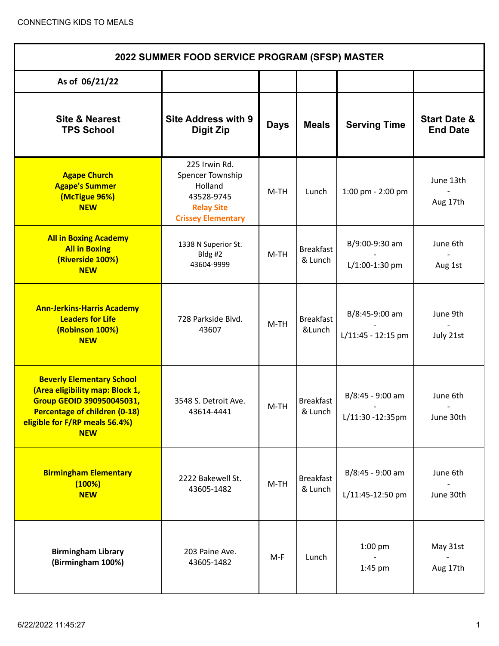| 2022 SUMMER FOOD SERVICE PROGRAM (SFSP) MASTER                                                                                                                                           |                                                                                                              |             |                             |                                      |                                            |  |  |
|------------------------------------------------------------------------------------------------------------------------------------------------------------------------------------------|--------------------------------------------------------------------------------------------------------------|-------------|-----------------------------|--------------------------------------|--------------------------------------------|--|--|
| As of 06/21/22                                                                                                                                                                           |                                                                                                              |             |                             |                                      |                                            |  |  |
| <b>Site &amp; Nearest</b><br><b>TPS School</b>                                                                                                                                           | <b>Site Address with 9</b><br><b>Digit Zip</b>                                                               | <b>Days</b> | <b>Meals</b>                | <b>Serving Time</b>                  | <b>Start Date &amp;</b><br><b>End Date</b> |  |  |
| <b>Agape Church</b><br><b>Agape's Summer</b><br>(McTigue 96%)<br><b>NEW</b>                                                                                                              | 225 Irwin Rd.<br>Spencer Township<br>Holland<br>43528-9745<br><b>Relay Site</b><br><b>Crissey Elementary</b> | M-TH        | Lunch                       | 1:00 pm - 2:00 pm                    | June 13th<br>Aug 17th                      |  |  |
| <b>All in Boxing Academy</b><br><b>All in Boxing</b><br>(Riverside 100%)<br><b>NEW</b>                                                                                                   | 1338 N Superior St.<br>Bldg #2<br>43604-9999                                                                 | $M-TH$      | <b>Breakfast</b><br>& Lunch | B/9:00-9:30 am<br>L/1:00-1:30 pm     | June 6th<br>Aug 1st                        |  |  |
| <b>Ann-Jerkins-Harris Academy</b><br><b>Leaders for Life</b><br>(Robinson 100%)<br><b>NEW</b>                                                                                            | 728 Parkside Blvd.<br>43607                                                                                  | $M-TH$      | <b>Breakfast</b><br>&Lunch  | B/8:45-9:00 am<br>L/11:45 - 12:15 pm | June 9th<br>July 21st                      |  |  |
| <b>Beverly Elementary School</b><br>(Area eligibility map: Block 1,<br>Group GEOID 390950045031,<br><b>Percentage of children (0-18)</b><br>eligible for F/RP meals 56.4%)<br><b>NEW</b> | 3548 S. Detroit Ave.<br>43614-4441                                                                           | $M-TH$      | <b>Breakfast</b><br>& Lunch | B/8:45 - 9:00 am<br>L/11:30 -12:35pm | June 6th<br>June 30th                      |  |  |
| <b>Birmingham Elementary</b><br>(100%)<br><b>NEW</b>                                                                                                                                     | 2222 Bakewell St.<br>43605-1482                                                                              | $M-TH$      | <b>Breakfast</b><br>& Lunch | B/8:45 - 9:00 am<br>L/11:45-12:50 pm | June 6th<br>June 30th                      |  |  |
| <b>Birmingham Library</b><br>(Birmingham 100%)                                                                                                                                           | 203 Paine Ave.<br>43605-1482                                                                                 | $M-F$       | Lunch                       | $1:00$ pm<br>1:45 pm                 | May 31st<br>Aug 17th                       |  |  |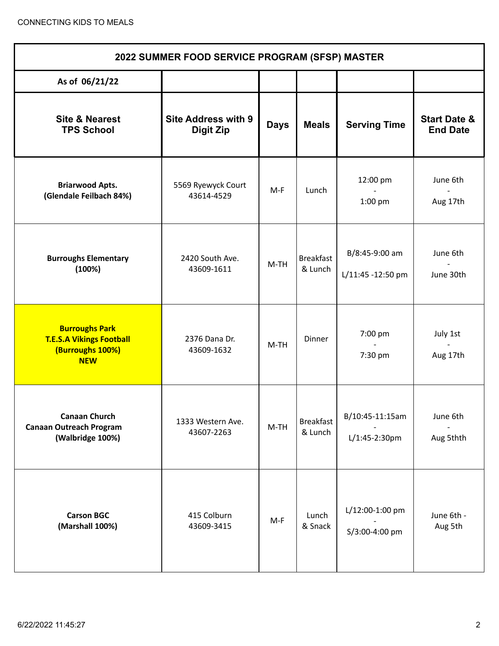| 2022 SUMMER FOOD SERVICE PROGRAM (SFSP) MASTER                                             |                                                |             |                             |                                      |                                            |  |  |
|--------------------------------------------------------------------------------------------|------------------------------------------------|-------------|-----------------------------|--------------------------------------|--------------------------------------------|--|--|
| As of 06/21/22                                                                             |                                                |             |                             |                                      |                                            |  |  |
| <b>Site &amp; Nearest</b><br><b>TPS School</b>                                             | <b>Site Address with 9</b><br><b>Digit Zip</b> | <b>Days</b> | <b>Meals</b>                | <b>Serving Time</b>                  | <b>Start Date &amp;</b><br><b>End Date</b> |  |  |
| <b>Briarwood Apts.</b><br>(Glendale Feilbach 84%)                                          | 5569 Ryewyck Court<br>43614-4529               | M-F         | Lunch                       | 12:00 pm<br>1:00 pm                  | June 6th<br>Aug 17th                       |  |  |
| <b>Burroughs Elementary</b><br>(100%)                                                      | 2420 South Ave.<br>43609-1611                  | $M-TH$      | <b>Breakfast</b><br>& Lunch | B/8:45-9:00 am<br>L/11:45 -12:50 pm  | June 6th<br>June 30th                      |  |  |
| <b>Burroughs Park</b><br><b>T.E.S.A Vikings Football</b><br>(Burroughs 100%)<br><b>NEW</b> | 2376 Dana Dr.<br>43609-1632                    | $M-TH$      | Dinner                      | 7:00 pm<br>$\overline{a}$<br>7:30 pm | July 1st<br>Aug 17th                       |  |  |
| <b>Canaan Church</b><br><b>Canaan Outreach Program</b><br>(Walbridge 100%)                 | 1333 Western Ave.<br>43607-2263                | $M-TH$      | <b>Breakfast</b><br>& Lunch | B/10:45-11:15am<br>L/1:45-2:30pm     | June 6th<br>Aug 5thth                      |  |  |
| <b>Carson BGC</b><br>(Marshall 100%)                                                       | 415 Colburn<br>43609-3415                      | $M-F$       | Lunch<br>& Snack            | L/12:00-1:00 pm<br>S/3:00-4:00 pm    | June 6th -<br>Aug 5th                      |  |  |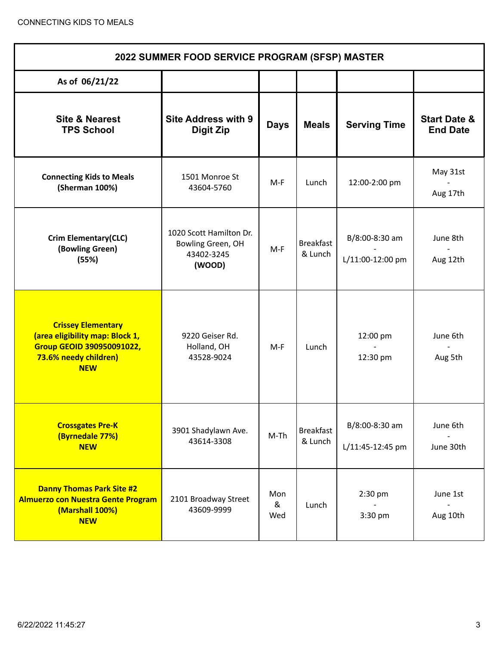| 2022 SUMMER FOOD SERVICE PROGRAM (SFSP) MASTER                                                                                          |                                                                      |                 |                             |                                    |                                            |  |  |
|-----------------------------------------------------------------------------------------------------------------------------------------|----------------------------------------------------------------------|-----------------|-----------------------------|------------------------------------|--------------------------------------------|--|--|
| As of 06/21/22                                                                                                                          |                                                                      |                 |                             |                                    |                                            |  |  |
| <b>Site &amp; Nearest</b><br><b>TPS School</b>                                                                                          | <b>Site Address with 9</b><br>Digit Zip                              | <b>Days</b>     | <b>Meals</b>                | <b>Serving Time</b>                | <b>Start Date &amp;</b><br><b>End Date</b> |  |  |
| <b>Connecting Kids to Meals</b><br>(Sherman 100%)                                                                                       | 1501 Monroe St<br>43604-5760                                         | M-F             | Lunch                       | 12:00-2:00 pm                      | May 31st<br>Aug 17th                       |  |  |
| <b>Crim Elementary(CLC)</b><br>(Bowling Green)<br>(55%)                                                                                 | 1020 Scott Hamilton Dr.<br>Bowling Green, OH<br>43402-3245<br>(WOOD) | $M-F$           | <b>Breakfast</b><br>& Lunch | B/8:00-8:30 am<br>L/11:00-12:00 pm | June 8th<br>Aug 12th                       |  |  |
| <b>Crissey Elementary</b><br>(area eligibility map: Block 1,<br><b>Group GEOID 390950091022,</b><br>73.6% needy children)<br><b>NEW</b> | 9220 Geiser Rd.<br>Holland, OH<br>43528-9024                         | $M-F$           | Lunch                       | 12:00 pm<br>12:30 pm               | June 6th<br>Aug 5th                        |  |  |
| <b>Crossgates Pre-K</b><br>(Byrnedale 77%)<br><b>NEW</b>                                                                                | 3901 Shadylawn Ave.<br>43614-3308                                    | $M-Th$          | <b>Breakfast</b><br>& Lunch | B/8:00-8:30 am<br>L/11:45-12:45 pm | June 6th<br>June 30th                      |  |  |
| <b>Danny Thomas Park Site #2</b><br><b>Almuerzo con Nuestra Gente Program</b><br>(Marshall 100%)<br><b>NEW</b>                          | 2101 Broadway Street<br>43609-9999                                   | Mon<br>&<br>Wed | Lunch                       | 2:30 pm<br>3:30 pm                 | June 1st<br>Aug 10th                       |  |  |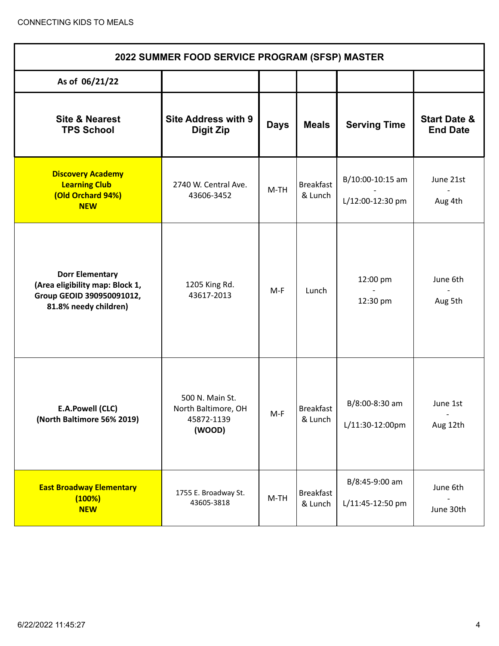| 2022 SUMMER FOOD SERVICE PROGRAM (SFSP) MASTER                                                                  |                                                                |             |                             |                                      |                                            |  |  |
|-----------------------------------------------------------------------------------------------------------------|----------------------------------------------------------------|-------------|-----------------------------|--------------------------------------|--------------------------------------------|--|--|
| As of 06/21/22                                                                                                  |                                                                |             |                             |                                      |                                            |  |  |
| <b>Site &amp; Nearest</b><br><b>TPS School</b>                                                                  | <b>Site Address with 9</b><br><b>Digit Zip</b>                 | <b>Days</b> | <b>Meals</b>                | <b>Serving Time</b>                  | <b>Start Date &amp;</b><br><b>End Date</b> |  |  |
| <b>Discovery Academy</b><br><b>Learning Club</b><br>(Old Orchard 94%)<br><b>NEW</b>                             | 2740 W. Central Ave.<br>43606-3452                             | $M-TH$      | <b>Breakfast</b><br>& Lunch | B/10:00-10:15 am<br>L/12:00-12:30 pm | June 21st<br>Aug 4th                       |  |  |
| <b>Dorr Elementary</b><br>(Area eligibility map: Block 1,<br>Group GEOID 390950091012,<br>81.8% needy children) | 1205 King Rd.<br>43617-2013                                    | $M-F$       | Lunch                       | 12:00 pm<br>12:30 pm                 | June 6th<br>Aug 5th                        |  |  |
| E.A.Powell (CLC)<br>(North Baltimore 56% 2019)                                                                  | 500 N. Main St.<br>North Baltimore, OH<br>45872-1139<br>(WOOD) | $M-F$       | <b>Breakfast</b><br>& Lunch | B/8:00-8:30 am<br>L/11:30-12:00pm    | June 1st<br>$\blacksquare$<br>Aug 12th     |  |  |
| <b>East Broadway Elementary</b><br>(100%)<br><b>NEW</b>                                                         | 1755 E. Broadway St.<br>43605-3818                             | $M-TH$      | <b>Breakfast</b><br>& Lunch | B/8:45-9:00 am<br>L/11:45-12:50 pm   | June 6th<br>June 30th                      |  |  |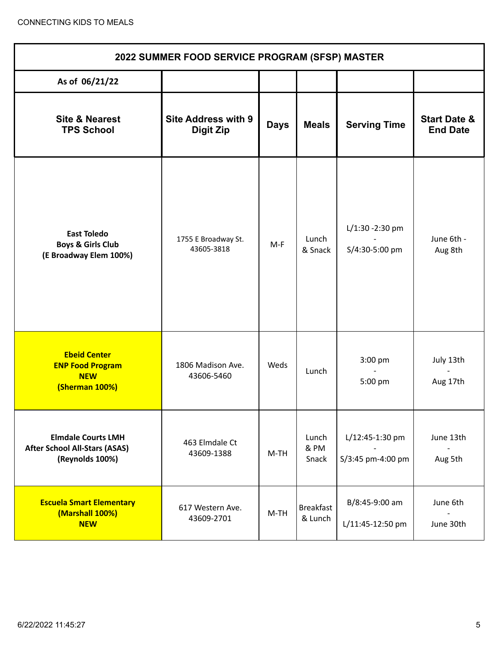| 2022 SUMMER FOOD SERVICE PROGRAM (SFSP) MASTER                                       |                                                |             |                             |                                      |                                            |  |  |
|--------------------------------------------------------------------------------------|------------------------------------------------|-------------|-----------------------------|--------------------------------------|--------------------------------------------|--|--|
| As of 06/21/22                                                                       |                                                |             |                             |                                      |                                            |  |  |
| <b>Site &amp; Nearest</b><br><b>TPS School</b>                                       | <b>Site Address with 9</b><br><b>Digit Zip</b> | <b>Days</b> | <b>Meals</b>                | <b>Serving Time</b>                  | <b>Start Date &amp;</b><br><b>End Date</b> |  |  |
| <b>East Toledo</b><br><b>Boys &amp; Girls Club</b><br>(E Broadway Elem 100%)         | 1755 E Broadway St.<br>43605-3818              | $M-F$       | Lunch<br>& Snack            | $L/1:30 - 2:30$ pm<br>S/4:30-5:00 pm | June 6th -<br>Aug 8th                      |  |  |
| <b>Ebeid Center</b><br><b>ENP Food Program</b><br><b>NEW</b><br>(Sherman 100%)       | 1806 Madison Ave.<br>43606-5460                | Weds        | Lunch                       | 3:00 pm<br>5:00 pm                   | July 13th<br>Aug 17th                      |  |  |
| <b>Elmdale Courts LMH</b><br><b>After School All-Stars (ASAS)</b><br>(Reynolds 100%) | 463 Elmdale Ct<br>43609-1388                   | M-TH        | Lunch<br>& PM<br>Snack      | L/12:45-1:30 pm<br>S/3:45 pm-4:00 pm | June 13th<br>Aug 5th                       |  |  |
| <b>Escuela Smart Elementary</b><br>(Marshall 100%)<br><b>NEW</b>                     | 617 Western Ave.<br>43609-2701                 | $M-TH$      | <b>Breakfast</b><br>& Lunch | B/8:45-9:00 am<br>L/11:45-12:50 pm   | June 6th<br>June 30th                      |  |  |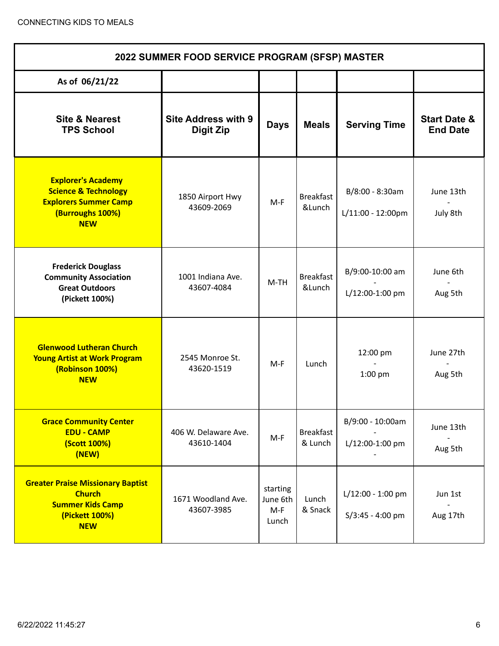| 2022 SUMMER FOOD SERVICE PROGRAM (SFSP) MASTER                                                                                 |                                         |                                        |                             |                                                |                                            |  |  |
|--------------------------------------------------------------------------------------------------------------------------------|-----------------------------------------|----------------------------------------|-----------------------------|------------------------------------------------|--------------------------------------------|--|--|
| As of 06/21/22                                                                                                                 |                                         |                                        |                             |                                                |                                            |  |  |
| <b>Site &amp; Nearest</b><br><b>TPS School</b>                                                                                 | <b>Site Address with 9</b><br>Digit Zip | <b>Days</b>                            | <b>Meals</b>                | <b>Serving Time</b>                            | <b>Start Date &amp;</b><br><b>End Date</b> |  |  |
| <b>Explorer's Academy</b><br><b>Science &amp; Technology</b><br><b>Explorers Summer Camp</b><br>(Burroughs 100%)<br><b>NEW</b> | 1850 Airport Hwy<br>43609-2069          | $M-F$                                  | <b>Breakfast</b><br>&Lunch  | B/8:00 - 8:30am<br>$L/11:00 - 12:00 \text{pm}$ | June 13th<br>July 8th                      |  |  |
| <b>Frederick Douglass</b><br><b>Community Association</b><br><b>Great Outdoors</b><br>(Pickett 100%)                           | 1001 Indiana Ave.<br>43607-4084         | $M-TH$                                 | <b>Breakfast</b><br>&Lunch  | B/9:00-10:00 am<br>L/12:00-1:00 pm             | June 6th<br>Aug 5th                        |  |  |
| <b>Glenwood Lutheran Church</b><br><b>Young Artist at Work Program</b><br>(Robinson 100%)<br><b>NEW</b>                        | 2545 Monroe St.<br>43620-1519           | $M-F$                                  | Lunch                       | 12:00 pm<br>$1:00$ pm                          | June 27th<br>Aug 5th                       |  |  |
| <b>Grace Community Center</b><br><b>EDU - CAMP</b><br>(Scott 100%)<br>(NEW)                                                    | 406 W. Delaware Ave.<br>43610-1404      | $M-F$                                  | <b>Breakfast</b><br>& Lunch | B/9:00 - 10:00am<br>L/12:00-1:00 pm            | June 13th<br>Aug 5th                       |  |  |
| <b>Greater Praise Missionary Baptist</b><br><b>Church</b><br><b>Summer Kids Camp</b><br>(Pickett 100%)<br><b>NEW</b>           | 1671 Woodland Ave.<br>43607-3985        | starting<br>June 6th<br>$M-F$<br>Lunch | Lunch<br>& Snack            | L/12:00 - 1:00 pm<br>$S/3:45 - 4:00$ pm        | Jun 1st<br>Aug 17th                        |  |  |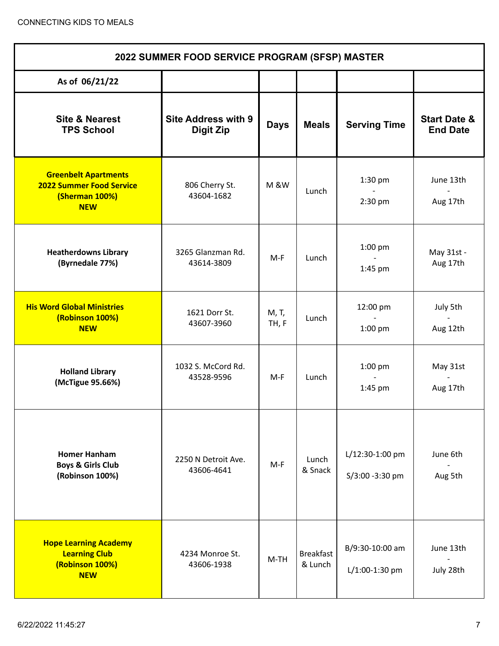| 2022 SUMMER FOOD SERVICE PROGRAM (SFSP) MASTER                                                 |                                                |                 |                             |                                    |                                            |  |
|------------------------------------------------------------------------------------------------|------------------------------------------------|-----------------|-----------------------------|------------------------------------|--------------------------------------------|--|
| As of 06/21/22                                                                                 |                                                |                 |                             |                                    |                                            |  |
| <b>Site &amp; Nearest</b><br><b>TPS School</b>                                                 | <b>Site Address with 9</b><br><b>Digit Zip</b> | <b>Days</b>     | <b>Meals</b>                | <b>Serving Time</b>                | <b>Start Date &amp;</b><br><b>End Date</b> |  |
| <b>Greenbelt Apartments</b><br><b>2022 Summer Food Service</b><br>(Sherman 100%)<br><b>NEW</b> | 806 Cherry St.<br>43604-1682                   | <b>M &amp;W</b> | Lunch                       | $1:30$ pm<br>$2:30$ pm             | June 13th<br>Aug 17th                      |  |
| <b>Heatherdowns Library</b><br>(Byrnedale 77%)                                                 | 3265 Glanzman Rd.<br>43614-3809                | $M-F$           | Lunch                       | 1:00 pm<br>$\sim$<br>1:45 pm       | May 31st -<br>Aug 17th                     |  |
| <b>His Word Global Ministries</b><br>(Robinson 100%)<br><b>NEW</b>                             | 1621 Dorr St.<br>43607-3960                    | M, T,<br>TH, F  | Lunch                       | 12:00 pm<br>$1:00$ pm              | July 5th<br>Aug 12th                       |  |
| <b>Holland Library</b><br>(McTigue 95.66%)                                                     | 1032 S. McCord Rd.<br>43528-9596               | M-F             | Lunch                       | $1:00$ pm<br>$1:45$ pm             | May 31st<br>Aug 17th                       |  |
| <b>Homer Hanham</b><br><b>Boys &amp; Girls Club</b><br>(Robinson 100%)                         | 2250 N Detroit Ave.<br>43606-4641              | $M-F$           | Lunch<br>& Snack            | L/12:30-1:00 pm<br>S/3:00 -3:30 pm | June 6th<br>Aug 5th                        |  |
| <b>Hope Learning Academy</b><br><b>Learning Club</b><br>(Robinson 100%)<br><b>NEW</b>          | 4234 Monroe St.<br>43606-1938                  | $M-TH$          | <b>Breakfast</b><br>& Lunch | B/9:30-10:00 am<br>L/1:00-1:30 pm  | June 13th<br>July 28th                     |  |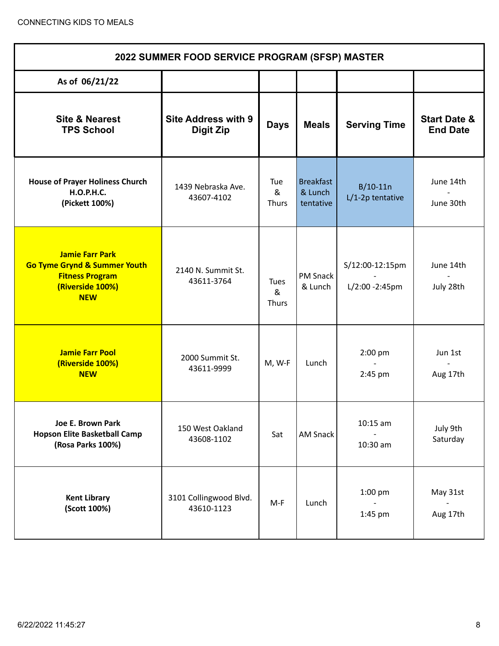| 2022 SUMMER FOOD SERVICE PROGRAM (SFSP) MASTER                                                                                |                                                |                          |                                   |                                    |                                            |  |  |
|-------------------------------------------------------------------------------------------------------------------------------|------------------------------------------------|--------------------------|-----------------------------------|------------------------------------|--------------------------------------------|--|--|
| As of 06/21/22                                                                                                                |                                                |                          |                                   |                                    |                                            |  |  |
| <b>Site &amp; Nearest</b><br><b>TPS School</b>                                                                                | <b>Site Address with 9</b><br><b>Digit Zip</b> | <b>Days</b>              | <b>Meals</b>                      | <b>Serving Time</b>                | <b>Start Date &amp;</b><br><b>End Date</b> |  |  |
| <b>House of Prayer Holiness Church</b><br><b>H.O.P.H.C.</b><br>(Pickett 100%)                                                 | 1439 Nebraska Ave.<br>43607-4102               | Tue<br>&<br><b>Thurs</b> | Breakfast<br>& Lunch<br>tentative | $B/10-11n$<br>L/1-2p tentative     | June 14th<br>June 30th                     |  |  |
| <b>Jamie Farr Park</b><br><b>Go Tyme Grynd &amp; Summer Youth</b><br><b>Fitness Program</b><br>(Riverside 100%)<br><b>NEW</b> | 2140 N. Summit St.<br>43611-3764               | Tues<br>&<br>Thurs       | <b>PM Snack</b><br>& Lunch        | S/12:00-12:15pm<br>L/2:00 - 2:45pm | June 14th<br>July 28th                     |  |  |
| <b>Jamie Farr Pool</b><br>(Riverside 100%)<br><b>NEW</b>                                                                      | 2000 Summit St.<br>43611-9999                  | M, W-F                   | Lunch                             | 2:00 pm<br>2:45 pm                 | Jun 1st<br>Aug 17th                        |  |  |
| Joe E. Brown Park<br><b>Hopson Elite Basketball Camp</b><br>(Rosa Parks 100%)                                                 | 150 West Oakland<br>43608-1102                 | Sat                      | <b>AM Snack</b>                   | $10:15$ am<br>10:30 am             | July 9th<br>Saturday                       |  |  |
| <b>Kent Library</b><br>(Scott 100%)                                                                                           | 3101 Collingwood Blvd.<br>43610-1123           | M-F                      | Lunch                             | $1:00$ pm<br>$1:45$ pm             | May 31st<br>Aug 17th                       |  |  |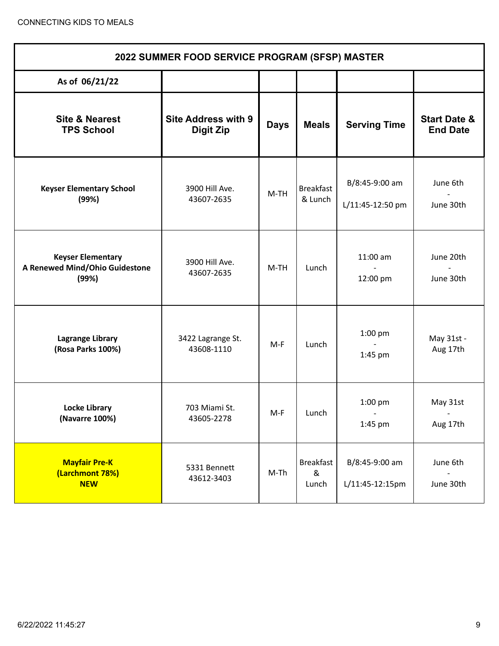| 2022 SUMMER FOOD SERVICE PROGRAM (SFSP) MASTER                      |                                                |             |                                |                                      |                                            |  |  |
|---------------------------------------------------------------------|------------------------------------------------|-------------|--------------------------------|--------------------------------------|--------------------------------------------|--|--|
| As of 06/21/22                                                      |                                                |             |                                |                                      |                                            |  |  |
| <b>Site &amp; Nearest</b><br><b>TPS School</b>                      | <b>Site Address with 9</b><br><b>Digit Zip</b> | <b>Days</b> | <b>Meals</b>                   | <b>Serving Time</b>                  | <b>Start Date &amp;</b><br><b>End Date</b> |  |  |
| <b>Keyser Elementary School</b><br>(99%)                            | 3900 Hill Ave.<br>43607-2635                   | $M-TH$      | <b>Breakfast</b><br>& Lunch    | B/8:45-9:00 am<br>L/11:45-12:50 pm   | June 6th<br>June 30th                      |  |  |
| <b>Keyser Elementary</b><br>A Renewed Mind/Ohio Guidestone<br>(99%) | 3900 Hill Ave.<br>43607-2635                   | $M-TH$      | Lunch                          | 11:00 am<br>12:00 pm                 | June 20th<br>June 30th                     |  |  |
| <b>Lagrange Library</b><br>(Rosa Parks 100%)                        | 3422 Lagrange St.<br>43608-1110                | $M-F$       | Lunch                          | $1:00$ pm<br>1:45 pm                 | May 31st -<br>Aug 17th                     |  |  |
| Locke Library<br>(Navarre 100%)                                     | 703 Miami St.<br>43605-2278                    | $M-F$       | Lunch                          | 1:00 pm<br>$\blacksquare$<br>1:45 pm | May 31st<br>$\sim$<br>Aug 17th             |  |  |
| <b>Mayfair Pre-K</b><br>(Larchmont 78%)<br><b>NEW</b>               | 5331 Bennett<br>43612-3403                     | $M-Th$      | <b>Breakfast</b><br>&<br>Lunch | B/8:45-9:00 am<br>L/11:45-12:15pm    | June 6th<br>June 30th                      |  |  |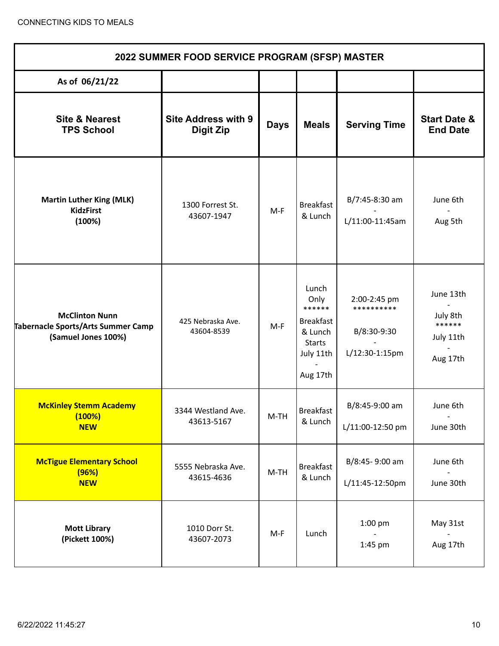| 2022 SUMMER FOOD SERVICE PROGRAM (SFSP) MASTER                                     |                                                |             |                                                                                                  |                                                             |                                                          |  |  |
|------------------------------------------------------------------------------------|------------------------------------------------|-------------|--------------------------------------------------------------------------------------------------|-------------------------------------------------------------|----------------------------------------------------------|--|--|
| As of 06/21/22                                                                     |                                                |             |                                                                                                  |                                                             |                                                          |  |  |
| <b>Site &amp; Nearest</b><br><b>TPS School</b>                                     | <b>Site Address with 9</b><br><b>Digit Zip</b> | <b>Days</b> | <b>Meals</b>                                                                                     | <b>Serving Time</b>                                         | <b>Start Date &amp;</b><br><b>End Date</b>               |  |  |
| <b>Martin Luther King (MLK)</b><br><b>KidzFirst</b><br>(100%)                      | 1300 Forrest St.<br>43607-1947                 | $M-F$       | <b>Breakfast</b><br>& Lunch                                                                      | B/7:45-8:30 am<br>L/11:00-11:45am                           | June 6th<br>Aug 5th                                      |  |  |
| <b>McClinton Nunn</b><br>Tabernacle Sports/Arts Summer Camp<br>(Samuel Jones 100%) | 425 Nebraska Ave.<br>43604-8539                | $M-F$       | Lunch<br>Only<br>******<br><b>Breakfast</b><br>& Lunch<br><b>Starts</b><br>July 11th<br>Aug 17th | 2:00-2:45 pm<br>**********<br>B/8:30-9:30<br>L/12:30-1:15pm | June 13th<br>July 8th<br>******<br>July 11th<br>Aug 17th |  |  |
| <b>McKinley Stemm Academy</b><br>(100%)<br><b>NEW</b>                              | 3344 Westland Ave.<br>43613-5167               | $M-TH$      | <b>Breakfast</b><br>& Lunch                                                                      | B/8:45-9:00 am<br>L/11:00-12:50 pm                          | June 6th<br>June 30th                                    |  |  |
| <b>McTigue Elementary School</b><br>(96%)<br><b>NEW</b>                            | 5555 Nebraska Ave.<br>43615-4636               | $M-TH$      | <b>Breakfast</b><br>& Lunch                                                                      | B/8:45-9:00 am<br>L/11:45-12:50pm                           | June 6th<br>June 30th                                    |  |  |
| <b>Mott Library</b><br>(Pickett 100%)                                              | 1010 Dorr St.<br>43607-2073                    | M-F         | Lunch                                                                                            | $1:00$ pm<br>1:45 pm                                        | May 31st<br>Aug 17th                                     |  |  |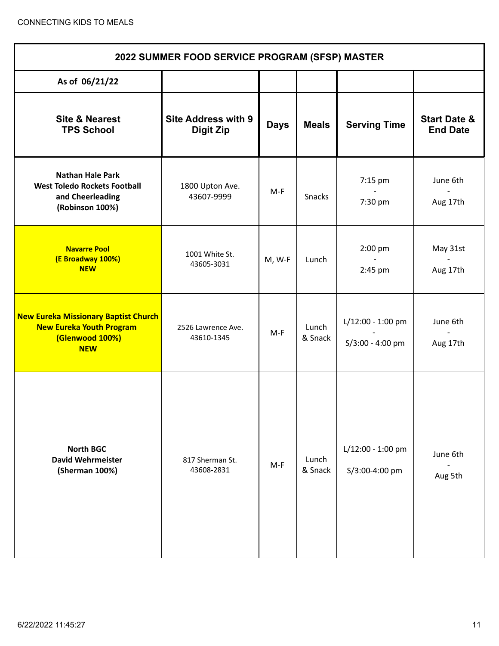| 2022 SUMMER FOOD SERVICE PROGRAM (SFSP) MASTER                                                                  |                                                |             |                  |                                       |                                            |  |  |
|-----------------------------------------------------------------------------------------------------------------|------------------------------------------------|-------------|------------------|---------------------------------------|--------------------------------------------|--|--|
| As of 06/21/22                                                                                                  |                                                |             |                  |                                       |                                            |  |  |
| <b>Site &amp; Nearest</b><br><b>TPS School</b>                                                                  | <b>Site Address with 9</b><br><b>Digit Zip</b> | <b>Days</b> | <b>Meals</b>     | <b>Serving Time</b>                   | <b>Start Date &amp;</b><br><b>End Date</b> |  |  |
| <b>Nathan Hale Park</b><br><b>West Toledo Rockets Football</b><br>and Cheerleading<br>(Robinson 100%)           | 1800 Upton Ave.<br>43607-9999                  | M-F         | Snacks           | 7:15 pm<br>7:30 pm                    | June 6th<br>Aug 17th                       |  |  |
| <b>Navarre Pool</b><br>(E Broadway 100%)<br><b>NEW</b>                                                          | 1001 White St.<br>43605-3031                   | M, W-F      | Lunch            | 2:00 pm<br>$2:45$ pm                  | May 31st<br>Aug 17th                       |  |  |
| <b>New Eureka Missionary Baptist Church</b><br><b>New Eureka Youth Program</b><br>(Glenwood 100%)<br><b>NEW</b> | 2526 Lawrence Ave.<br>43610-1345               | $M-F$       | Lunch<br>& Snack | L/12:00 - 1:00 pm<br>S/3:00 - 4:00 pm | June 6th<br>Aug 17th                       |  |  |
| <b>North BGC</b><br><b>David Wehrmeister</b><br>(Sherman 100%)                                                  | 817 Sherman St.<br>43608-2831                  | $M-F$       | Lunch<br>& Snack | L/12:00 - 1:00 pm<br>S/3:00-4:00 pm   | June 6th<br>Aug 5th                        |  |  |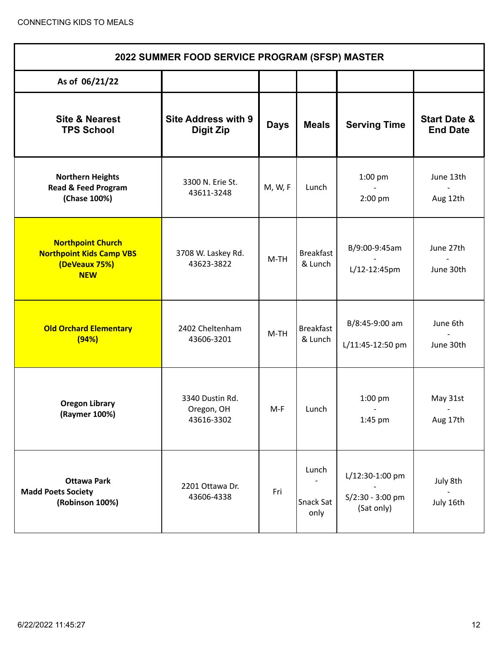| 2022 SUMMER FOOD SERVICE PROGRAM (SFSP) MASTER                                             |                                                |             |                             |                                                     |                                            |  |  |
|--------------------------------------------------------------------------------------------|------------------------------------------------|-------------|-----------------------------|-----------------------------------------------------|--------------------------------------------|--|--|
| As of 06/21/22                                                                             |                                                |             |                             |                                                     |                                            |  |  |
| <b>Site &amp; Nearest</b><br><b>TPS School</b>                                             | <b>Site Address with 9</b><br><b>Digit Zip</b> | <b>Days</b> | <b>Meals</b>                | <b>Serving Time</b>                                 | <b>Start Date &amp;</b><br><b>End Date</b> |  |  |
| <b>Northern Heights</b><br><b>Read &amp; Feed Program</b><br>(Chase 100%)                  | 3300 N. Erie St.<br>43611-3248                 | M, W, F     | Lunch                       | 1:00 pm<br>2:00 pm                                  | June 13th<br>Aug 12th                      |  |  |
| <b>Northpoint Church</b><br><b>Northpoint Kids Camp VBS</b><br>(DeVeaux 75%)<br><b>NEW</b> | 3708 W. Laskey Rd.<br>43623-3822               | $M-TH$      | <b>Breakfast</b><br>& Lunch | B/9:00-9:45am<br>$L/12 - 12:45$ pm                  | June 27th<br>June 30th                     |  |  |
| <b>Old Orchard Elementary</b><br>(94%)                                                     | 2402 Cheltenham<br>43606-3201                  | $M-TH$      | <b>Breakfast</b><br>& Lunch | B/8:45-9:00 am<br>L/11:45-12:50 pm                  | June 6th<br>June 30th                      |  |  |
| <b>Oregon Library</b><br>(Raymer 100%)                                                     | 3340 Dustin Rd.<br>Oregon, OH<br>43616-3302    | M-F         | Lunch                       | 1:00 pm<br>1:45 pm                                  | May 31st<br>Aug 17th                       |  |  |
| <b>Ottawa Park</b><br><b>Madd Poets Society</b><br>(Robinson 100%)                         | 2201 Ottawa Dr.<br>43606-4338                  | Fri         | Lunch<br>Snack Sat<br>only  | L/12:30-1:00 pm<br>$S/2:30 - 3:00$ pm<br>(Sat only) | July 8th<br>July 16th                      |  |  |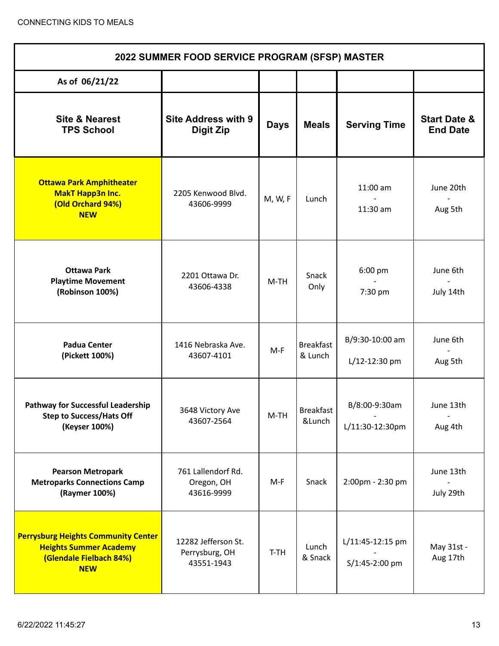| 2022 SUMMER FOOD SERVICE PROGRAM (SFSP) MASTER                                                                       |                                                     |             |                             |                                    |                                            |  |
|----------------------------------------------------------------------------------------------------------------------|-----------------------------------------------------|-------------|-----------------------------|------------------------------------|--------------------------------------------|--|
| As of 06/21/22                                                                                                       |                                                     |             |                             |                                    |                                            |  |
| <b>Site &amp; Nearest</b><br><b>TPS School</b>                                                                       | <b>Site Address with 9</b><br><b>Digit Zip</b>      | <b>Days</b> | <b>Meals</b>                | <b>Serving Time</b>                | <b>Start Date &amp;</b><br><b>End Date</b> |  |
| <b>Ottawa Park Amphitheater</b><br><b>MakT Happ3n Inc.</b><br>(Old Orchard 94%)<br><b>NEW</b>                        | 2205 Kenwood Blvd.<br>43606-9999                    | M, W, F     | Lunch                       | $11:00$ am<br>11:30 am             | June 20th<br>Aug 5th                       |  |
| <b>Ottawa Park</b><br><b>Playtime Movement</b><br>(Robinson 100%)                                                    | 2201 Ottawa Dr.<br>43606-4338                       | $M-TH$      | Snack<br>Only               | 6:00 pm<br>7:30 pm                 | June 6th<br>July 14th                      |  |
| <b>Padua Center</b><br>(Pickett 100%)                                                                                | 1416 Nebraska Ave.<br>43607-4101                    | $M-F$       | <b>Breakfast</b><br>& Lunch | B/9:30-10:00 am<br>L/12-12:30 pm   | June 6th<br>Aug 5th                        |  |
| <b>Pathway for Successful Leadership</b><br><b>Step to Success/Hats Off</b><br>(Keyser 100%)                         | 3648 Victory Ave<br>43607-2564                      | $M-TH$      | <b>Breakfast</b><br>&Lunch  | B/8:00-9:30am<br>L/11:30-12:30pm   | June 13th<br>Aug 4th                       |  |
| <b>Pearson Metropark</b><br><b>Metroparks Connections Camp</b><br>(Raymer 100%)                                      | 761 Lallendorf Rd.<br>Oregon, OH<br>43616-9999      | M-F         | Snack                       | 2:00pm - 2:30 pm                   | June 13th<br>July 29th                     |  |
| <b>Perrysburg Heights Community Center</b><br><b>Heights Summer Academy</b><br>(Glendale Fielbach 84%)<br><b>NEW</b> | 12282 Jefferson St.<br>Perrysburg, OH<br>43551-1943 | T-TH        | Lunch<br>& Snack            | L/11:45-12:15 pm<br>S/1:45-2:00 pm | May 31st -<br>Aug 17th                     |  |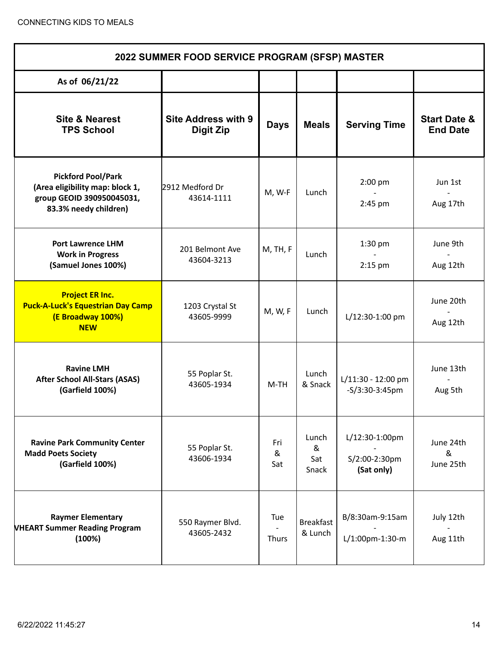| 2022 SUMMER FOOD SERVICE PROGRAM (SFSP) MASTER                                                                     |                                         |                     |                             |                                               |                                            |  |
|--------------------------------------------------------------------------------------------------------------------|-----------------------------------------|---------------------|-----------------------------|-----------------------------------------------|--------------------------------------------|--|
| As of 06/21/22                                                                                                     |                                         |                     |                             |                                               |                                            |  |
| <b>Site &amp; Nearest</b><br><b>TPS School</b>                                                                     | <b>Site Address with 9</b><br>Digit Zip | <b>Days</b>         | <b>Meals</b>                | <b>Serving Time</b>                           | <b>Start Date &amp;</b><br><b>End Date</b> |  |
| <b>Pickford Pool/Park</b><br>(Area eligibility map: block 1,<br>group GEOID 390950045031,<br>83.3% needy children) | 2912 Medford Dr<br>43614-1111           | M, W-F              | Lunch                       | $2:00$ pm<br>2:45 pm                          | Jun 1st<br>Aug 17th                        |  |
| <b>Port Lawrence LHM</b><br><b>Work in Progress</b><br>(Samuel Jones 100%)                                         | 201 Belmont Ave<br>43604-3213           | M, TH, F            | Lunch                       | $1:30$ pm<br>$2:15$ pm                        | June 9th<br>Aug 12th                       |  |
| <b>Project ER Inc.</b><br><b>Puck-A-Luck's Equestrian Day Camp</b><br>(E Broadway 100%)<br><b>NEW</b>              | 1203 Crystal St<br>43605-9999           | M, W, F             | Lunch                       | L/12:30-1:00 pm                               | June 20th<br>Aug 12th                      |  |
| <b>Ravine LMH</b><br><b>After School All-Stars (ASAS)</b><br>(Garfield 100%)                                       | 55 Poplar St.<br>43605-1934             | M-TH                | Lunch<br>& Snack            | L/11:30 - 12:00 pm<br>$-S/3:30-3:45$ pm       | June 13th<br>Aug 5th                       |  |
| <b>Ravine Park Community Center</b><br><b>Madd Poets Society</b><br>(Garfield 100%)                                | 55 Poplar St.<br>43606-1934             | Fri<br>&<br>Sat     | Lunch<br>&<br>Sat<br>Snack  | L/12:30-1:00pm<br>S/2:00-2:30pm<br>(Sat only) | June 24th<br>&<br>June 25th                |  |
| <b>Raymer Elementary</b><br><b>VHEART Summer Reading Program</b><br>(100%)                                         | 550 Raymer Blvd.<br>43605-2432          | Tue<br><b>Thurs</b> | <b>Breakfast</b><br>& Lunch | B/8:30am-9:15am<br>L/1:00pm-1:30-m            | July 12th<br>Aug 11th                      |  |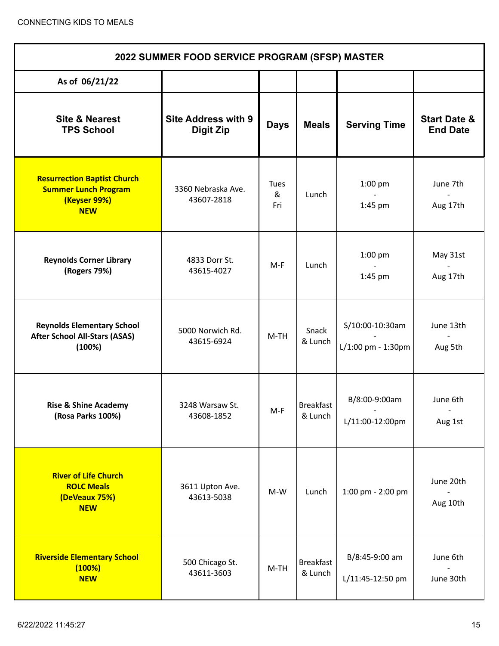| 2022 SUMMER FOOD SERVICE PROGRAM (SFSP) MASTER                                                  |                                                |                         |                             |                                       |                                                  |  |
|-------------------------------------------------------------------------------------------------|------------------------------------------------|-------------------------|-----------------------------|---------------------------------------|--------------------------------------------------|--|
| As of 06/21/22                                                                                  |                                                |                         |                             |                                       |                                                  |  |
| <b>Site &amp; Nearest</b><br><b>TPS School</b>                                                  | <b>Site Address with 9</b><br><b>Digit Zip</b> | <b>Days</b>             | <b>Meals</b>                | <b>Serving Time</b>                   | <b>Start Date &amp;</b><br><b>End Date</b>       |  |
| <b>Resurrection Baptist Church</b><br><b>Summer Lunch Program</b><br>(Keyser 99%)<br><b>NEW</b> | 3360 Nebraska Ave.<br>43607-2818               | <b>Tues</b><br>&<br>Fri | Lunch                       | $1:00$ pm<br>1:45 pm                  | June 7th<br>Aug 17th                             |  |
| <b>Reynolds Corner Library</b><br>(Rogers 79%)                                                  | 4833 Dorr St.<br>43615-4027                    | $M-F$                   | Lunch                       | 1:00 pm<br>1:45 pm                    | May 31st<br>Aug 17th                             |  |
| <b>Reynolds Elementary School</b><br><b>After School All-Stars (ASAS)</b><br>(100%)             | 5000 Norwich Rd.<br>43615-6924                 | $M-TH$                  | Snack<br>& Lunch            | S/10:00-10:30am<br>L/1:00 pm - 1:30pm | June 13th<br>$\overline{\phantom{a}}$<br>Aug 5th |  |
| <b>Rise &amp; Shine Academy</b><br>(Rosa Parks 100%)                                            | 3248 Warsaw St.<br>43608-1852                  | M-F                     | Breakfast<br>& Lunch        | B/8:00-9:00am<br>L/11:00-12:00pm      | June 6th<br>Aug 1st                              |  |
| <b>River of Life Church</b><br><b>ROLC Meals</b><br>(DeVeaux 75%)<br><b>NEW</b>                 | 3611 Upton Ave.<br>43613-5038                  | $M-W$                   | Lunch                       | 1:00 pm - 2:00 pm                     | June 20th<br>Aug 10th                            |  |
| <b>Riverside Elementary School</b><br>(100%)<br><b>NEW</b>                                      | 500 Chicago St.<br>43611-3603                  | $M-TH$                  | <b>Breakfast</b><br>& Lunch | B/8:45-9:00 am<br>L/11:45-12:50 pm    | June 6th<br>June 30th                            |  |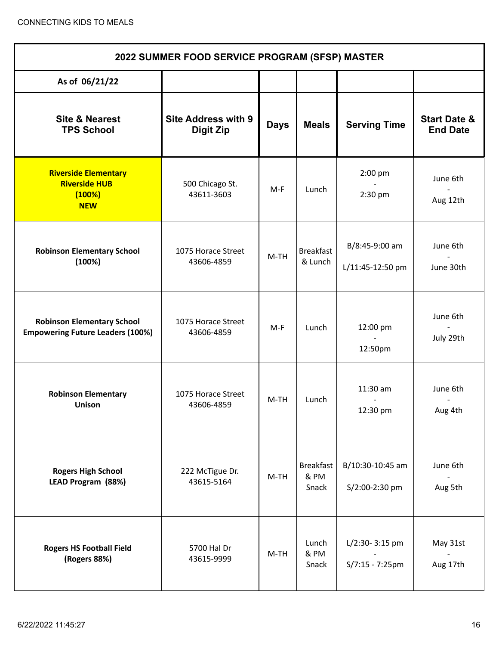| 2022 SUMMER FOOD SERVICE PROGRAM (SFSP) MASTER                               |                                                |             |                                   |                                      |                                            |  |
|------------------------------------------------------------------------------|------------------------------------------------|-------------|-----------------------------------|--------------------------------------|--------------------------------------------|--|
| As of 06/21/22                                                               |                                                |             |                                   |                                      |                                            |  |
| <b>Site &amp; Nearest</b><br><b>TPS School</b>                               | <b>Site Address with 9</b><br><b>Digit Zip</b> | <b>Days</b> | <b>Meals</b>                      | <b>Serving Time</b>                  | <b>Start Date &amp;</b><br><b>End Date</b> |  |
| <b>Riverside Elementary</b><br><b>Riverside HUB</b><br>(100%)<br><b>NEW</b>  | 500 Chicago St.<br>43611-3603                  | M-F         | Lunch                             | 2:00 pm<br>$\mathbf{r}$<br>2:30 pm   | June 6th<br>Aug 12th                       |  |
| <b>Robinson Elementary School</b><br>(100%)                                  | 1075 Horace Street<br>43606-4859               | $M-TH$      | <b>Breakfast</b><br>& Lunch       | B/8:45-9:00 am<br>L/11:45-12:50 pm   | June 6th<br>June 30th                      |  |
| <b>Robinson Elementary School</b><br><b>Empowering Future Leaders (100%)</b> | 1075 Horace Street<br>43606-4859               | M-F         | Lunch                             | 12:00 pm<br>12:50pm                  | June 6th<br>July 29th                      |  |
| <b>Robinson Elementary</b><br><b>Unison</b>                                  | 1075 Horace Street<br>43606-4859               | M-TH        | Lunch                             | 11:30 am<br>12:30 pm                 | June 6th<br>Aug 4th                        |  |
| <b>Rogers High School</b><br>LEAD Program (88%)                              | 222 McTigue Dr.<br>43615-5164                  | $M-TH$      | <b>Breakfast</b><br>& PM<br>Snack | B/10:30-10:45 am<br>S/2:00-2:30 pm   | June 6th<br>Aug 5th                        |  |
| <b>Rogers HS Football Field</b><br>(Rogers 88%)                              | 5700 Hal Dr<br>43615-9999                      | $M-TH$      | Lunch<br>& PM<br>Snack            | L/2:30-3:15 pm<br>$S/7:15 - 7:25$ pm | May 31st<br>Aug 17th                       |  |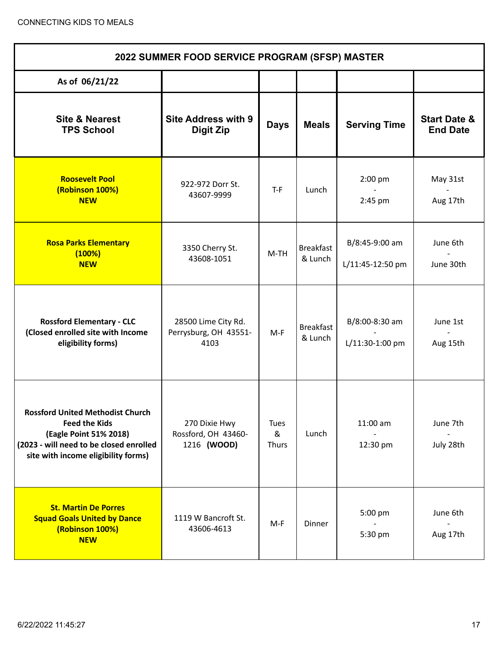| 2022 SUMMER FOOD SERVICE PROGRAM (SFSP) MASTER                                                                                                                              |                                                      |                           |                             |                                    |                                            |  |
|-----------------------------------------------------------------------------------------------------------------------------------------------------------------------------|------------------------------------------------------|---------------------------|-----------------------------|------------------------------------|--------------------------------------------|--|
| As of 06/21/22                                                                                                                                                              |                                                      |                           |                             |                                    |                                            |  |
| <b>Site &amp; Nearest</b><br><b>TPS School</b>                                                                                                                              | <b>Site Address with 9</b><br><b>Digit Zip</b>       | <b>Days</b>               | <b>Meals</b>                | <b>Serving Time</b>                | <b>Start Date &amp;</b><br><b>End Date</b> |  |
| <b>Roosevelt Pool</b><br>(Robinson 100%)<br><b>NEW</b>                                                                                                                      | 922-972 Dorr St.<br>43607-9999                       | $T-F$                     | Lunch                       | 2:00 pm<br>2:45 pm                 | May 31st<br>Aug 17th                       |  |
| <b>Rosa Parks Elementary</b><br>(100%)<br><b>NEW</b>                                                                                                                        | 3350 Cherry St.<br>43608-1051                        | $M-TH$                    | <b>Breakfast</b><br>& Lunch | B/8:45-9:00 am<br>L/11:45-12:50 pm | June 6th<br>June 30th                      |  |
| <b>Rossford Elementary - CLC</b><br>(Closed enrolled site with Income<br>eligibility forms)                                                                                 | 28500 Lime City Rd.<br>Perrysburg, OH 43551-<br>4103 | $M-F$                     | <b>Breakfast</b><br>& Lunch | B/8:00-8:30 am<br>L/11:30-1:00 pm  | June 1st<br>Aug 15th                       |  |
| <b>Rossford United Methodist Church</b><br><b>Feed the Kids</b><br>(Eagle Point 51% 2018)<br>(2023 - will need to be closed enrolled<br>site with income eligibility forms) | 270 Dixie Hwy<br>Rossford, OH 43460-<br>1216 (WOOD)  | <b>Tues</b><br>&<br>Thurs | Lunch                       | $11:00$ am<br>12:30 pm             | June 7th<br>July 28th                      |  |
| <b>St. Martin De Porres</b><br><b>Squad Goals United by Dance</b><br>(Robinson 100%)<br><b>NEW</b>                                                                          | 1119 W Bancroft St.<br>43606-4613                    | $M-F$                     | Dinner                      | 5:00 pm<br>5:30 pm                 | June 6th<br>Aug 17th                       |  |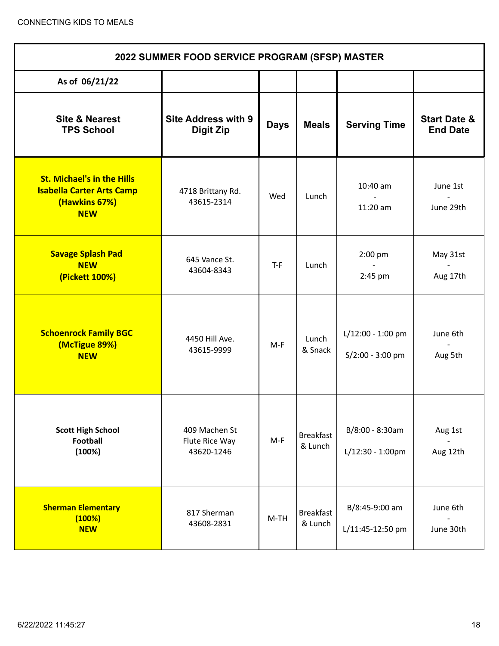| 2022 SUMMER FOOD SERVICE PROGRAM (SFSP) MASTER                                                       |                                                |             |                             |                                           |                                            |  |
|------------------------------------------------------------------------------------------------------|------------------------------------------------|-------------|-----------------------------|-------------------------------------------|--------------------------------------------|--|
| As of 06/21/22                                                                                       |                                                |             |                             |                                           |                                            |  |
| <b>Site &amp; Nearest</b><br><b>TPS School</b>                                                       | <b>Site Address with 9</b><br><b>Digit Zip</b> | <b>Days</b> | <b>Meals</b>                | <b>Serving Time</b>                       | <b>Start Date &amp;</b><br><b>End Date</b> |  |
| <b>St. Michael's in the Hills</b><br><b>Isabella Carter Arts Camp</b><br>(Hawkins 67%)<br><b>NEW</b> | 4718 Brittany Rd.<br>43615-2314                | Wed         | Lunch                       | 10:40 am<br>$11:20$ am                    | June 1st<br>June 29th                      |  |
| <b>Savage Splash Pad</b><br><b>NEW</b><br>(Pickett 100%)                                             | 645 Vance St.<br>43604-8343                    | $T-F$       | Lunch                       | 2:00 pm<br>2:45 pm                        | May 31st<br>Aug 17th                       |  |
| <b>Schoenrock Family BGC</b><br>(McTigue 89%)<br><b>NEW</b>                                          | 4450 Hill Ave.<br>43615-9999                   | $M-F$       | Lunch<br>& Snack            | $L/12:00 - 1:00$ pm<br>$S/2:00 - 3:00$ pm | June 6th<br>Aug 5th                        |  |
| <b>Scott High School</b><br><b>Football</b><br>(100%)                                                | 409 Machen St<br>Flute Rice Way<br>43620-1246  | $M-F$       | <b>Breakfast</b><br>& Lunch | B/8:00 - 8:30am<br>$L/12:30 - 1:00$ pm    | Aug 1st<br>Aug 12th                        |  |
| <b>Sherman Elementary</b><br>(100%)<br><b>NEW</b>                                                    | 817 Sherman<br>43608-2831                      | $M-TH$      | <b>Breakfast</b><br>& Lunch | B/8:45-9:00 am<br>L/11:45-12:50 pm        | June 6th<br>June 30th                      |  |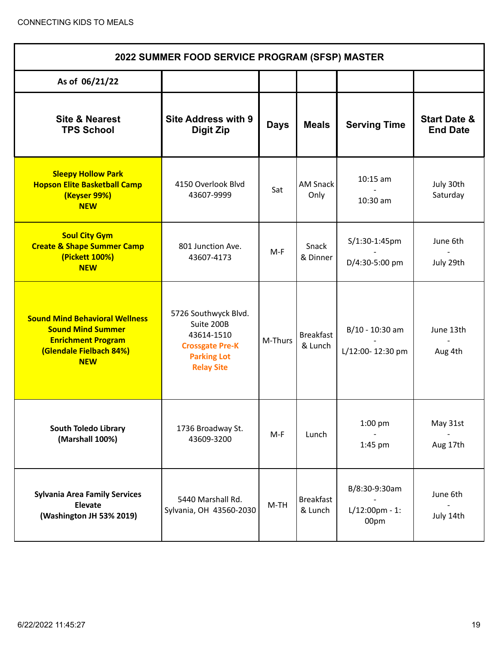| 2022 SUMMER FOOD SERVICE PROGRAM (SFSP) MASTER                                                                                          |                                                                                                                       |             |                             |                                            |                                            |  |
|-----------------------------------------------------------------------------------------------------------------------------------------|-----------------------------------------------------------------------------------------------------------------------|-------------|-----------------------------|--------------------------------------------|--------------------------------------------|--|
| As of 06/21/22                                                                                                                          |                                                                                                                       |             |                             |                                            |                                            |  |
| <b>Site &amp; Nearest</b><br><b>TPS School</b>                                                                                          | <b>Site Address with 9</b><br><b>Digit Zip</b>                                                                        | <b>Days</b> | <b>Meals</b>                | <b>Serving Time</b>                        | <b>Start Date &amp;</b><br><b>End Date</b> |  |
| <b>Sleepy Hollow Park</b><br><b>Hopson Elite Basketball Camp</b><br>(Keyser 99%)<br><b>NEW</b>                                          | 4150 Overlook Blvd<br>43607-9999                                                                                      | Sat         | <b>AM Snack</b><br>Only     | $10:15$ am<br>10:30 am                     | July 30th<br>Saturday                      |  |
| <b>Soul City Gym</b><br><b>Create &amp; Shape Summer Camp</b><br>(Pickett 100%)<br><b>NEW</b>                                           | 801 Junction Ave.<br>43607-4173                                                                                       | $M-F$       | Snack<br>& Dinner           | S/1:30-1:45pm<br>D/4:30-5:00 pm            | June 6th<br>July 29th                      |  |
| <b>Sound Mind Behavioral Wellness</b><br><b>Sound Mind Summer</b><br><b>Enrichment Program</b><br>(Glendale Fielbach 84%)<br><b>NEW</b> | 5726 Southwyck Blvd.<br>Suite 200B<br>43614-1510<br><b>Crossgate Pre-K</b><br><b>Parking Lot</b><br><b>Relay Site</b> | M-Thurs     | <b>Breakfast</b><br>& Lunch | B/10 - 10:30 am<br>L/12:00-12:30 pm        | June 13th<br>Aug 4th                       |  |
| <b>South Toledo Library</b><br>(Marshall 100%)                                                                                          | 1736 Broadway St.<br>43609-3200                                                                                       | $M-F$       | Lunch                       | 1:00 pm<br>1:45 pm                         | May 31st<br>Aug 17th                       |  |
| <b>Sylvania Area Family Services</b><br>Elevate<br>(Washington JH 53% 2019)                                                             | 5440 Marshall Rd.<br>Sylvania, OH 43560-2030                                                                          | $M-TH$      | <b>Breakfast</b><br>& Lunch | B/8:30-9:30am<br>$L/12:00$ pm - 1:<br>00pm | June 6th<br>July 14th                      |  |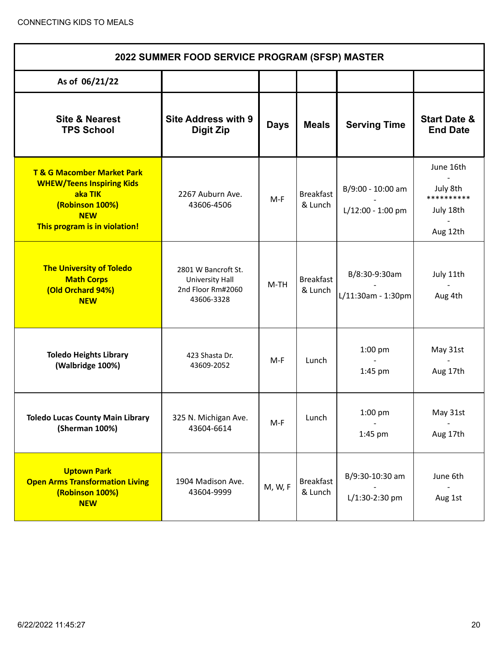| 2022 SUMMER FOOD SERVICE PROGRAM (SFSP) MASTER                                                                                                         |                                                                           |             |                             |                                        |                                                              |  |
|--------------------------------------------------------------------------------------------------------------------------------------------------------|---------------------------------------------------------------------------|-------------|-----------------------------|----------------------------------------|--------------------------------------------------------------|--|
| As of 06/21/22                                                                                                                                         |                                                                           |             |                             |                                        |                                                              |  |
| <b>Site &amp; Nearest</b><br><b>TPS School</b>                                                                                                         | <b>Site Address with 9</b><br><b>Digit Zip</b>                            | <b>Days</b> | <b>Meals</b>                | <b>Serving Time</b>                    | <b>Start Date &amp;</b><br><b>End Date</b>                   |  |
| <b>T &amp; G Macomber Market Park</b><br><b>WHEW/Teens Inspiring Kids</b><br>aka TIK<br>(Robinson 100%)<br><b>NEW</b><br>This program is in violation! | 2267 Auburn Ave.<br>43606-4506                                            | $M-F$       | <b>Breakfast</b><br>& Lunch | B/9:00 - 10:00 am<br>L/12:00 - 1:00 pm | June 16th<br>July 8th<br>**********<br>July 18th<br>Aug 12th |  |
| <b>The University of Toledo</b><br><b>Math Corps</b><br>(Old Orchard 94%)<br><b>NEW</b>                                                                | 2801 W Bancroft St.<br>University Hall<br>2nd Floor Rm#2060<br>43606-3328 | $M-TH$      | <b>Breakfast</b><br>& Lunch | B/8:30-9:30am<br>L/11:30am - 1:30pm    | July 11th<br>Aug 4th                                         |  |
| <b>Toledo Heights Library</b><br>(Walbridge 100%)                                                                                                      | 423 Shasta Dr.<br>43609-2052                                              | $M-F$       | Lunch                       | $1:00$ pm<br>1:45 pm                   | May 31st<br>Aug 17th                                         |  |
| <b>Toledo Lucas County Main Library</b><br>(Sherman 100%)                                                                                              | 325 N. Michigan Ave.<br>43604-6614                                        | $M-F$       | Lunch                       | 1:00 pm<br>1:45 pm                     | May 31st<br>Aug 17th                                         |  |
| <b>Uptown Park</b><br><b>Open Arms Transformation Living</b><br>(Robinson 100%)<br><b>NEW</b>                                                          | 1904 Madison Ave.<br>43604-9999                                           | M, W, F     | <b>Breakfast</b><br>& Lunch | B/9:30-10:30 am<br>L/1:30-2:30 pm      | June 6th<br>Aug 1st                                          |  |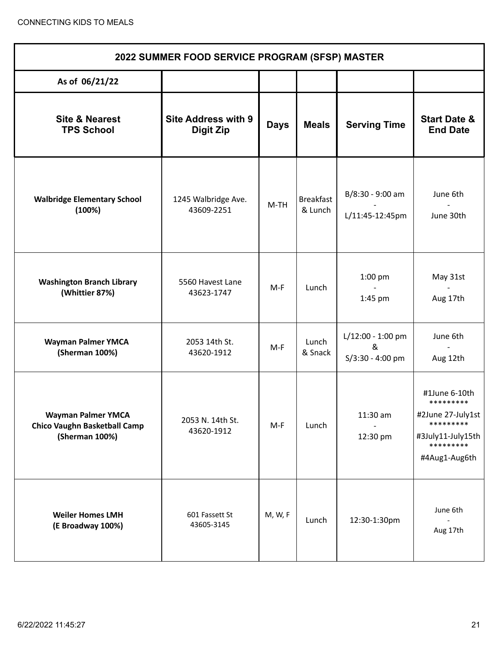| 2022 SUMMER FOOD SERVICE PROGRAM (SFSP) MASTER                                     |                                                |             |                             |                                              |                                                                                                                 |  |  |
|------------------------------------------------------------------------------------|------------------------------------------------|-------------|-----------------------------|----------------------------------------------|-----------------------------------------------------------------------------------------------------------------|--|--|
| As of 06/21/22                                                                     |                                                |             |                             |                                              |                                                                                                                 |  |  |
| <b>Site &amp; Nearest</b><br><b>TPS School</b>                                     | <b>Site Address with 9</b><br><b>Digit Zip</b> | <b>Days</b> | <b>Meals</b>                | <b>Serving Time</b>                          | <b>Start Date &amp;</b><br><b>End Date</b>                                                                      |  |  |
| <b>Walbridge Elementary School</b><br>(100%)                                       | 1245 Walbridge Ave.<br>43609-2251              | $M-TH$      | <b>Breakfast</b><br>& Lunch | B/8:30 - 9:00 am<br>L/11:45-12:45pm          | June 6th<br>June 30th                                                                                           |  |  |
| <b>Washington Branch Library</b><br>(Whittier 87%)                                 | 5560 Havest Lane<br>43623-1747                 | M-F         | Lunch                       | $1:00$ pm<br>1:45 pm                         | May 31st<br>Aug 17th                                                                                            |  |  |
| <b>Wayman Palmer YMCA</b><br>(Sherman 100%)                                        | 2053 14th St.<br>43620-1912                    | M-F         | Lunch<br>& Snack            | L/12:00 - 1:00 pm<br>&<br>$S/3:30 - 4:00$ pm | June 6th<br>Aug 12th                                                                                            |  |  |
| <b>Wayman Palmer YMCA</b><br><b>Chico Vaughn Basketball Camp</b><br>(Sherman 100%) | 2053 N. 14th St.<br>43620-1912                 | $M-F$       | Lunch                       | 11:30 am<br>12:30 pm                         | #1June 6-10th<br>*********<br>#2June 27-July1st<br>*********<br>#3July11-July15th<br>*********<br>#4Aug1-Aug6th |  |  |
| <b>Weiler Homes LMH</b><br>(E Broadway 100%)                                       | 601 Fassett St<br>43605-3145                   | M, W, F     | Lunch                       | 12:30-1:30pm                                 | June 6th<br>Aug 17th                                                                                            |  |  |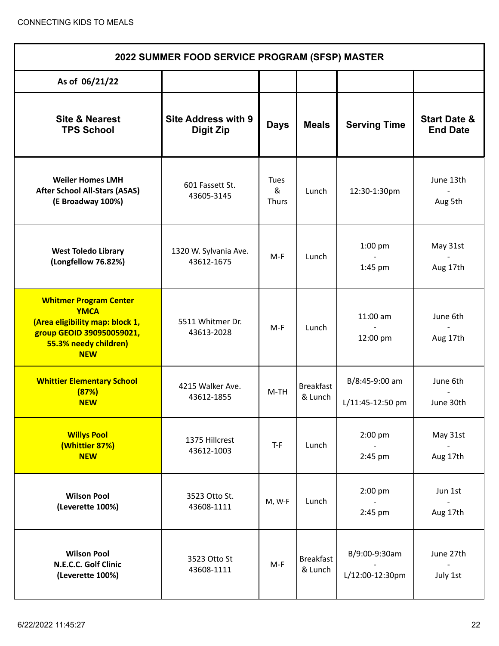| 2022 SUMMER FOOD SERVICE PROGRAM (SFSP) MASTER                                                                                                      |                                                |                                  |                             |                                    |                                            |  |
|-----------------------------------------------------------------------------------------------------------------------------------------------------|------------------------------------------------|----------------------------------|-----------------------------|------------------------------------|--------------------------------------------|--|
| As of 06/21/22                                                                                                                                      |                                                |                                  |                             |                                    |                                            |  |
| <b>Site &amp; Nearest</b><br><b>TPS School</b>                                                                                                      | <b>Site Address with 9</b><br><b>Digit Zip</b> | <b>Days</b>                      | <b>Meals</b>                | <b>Serving Time</b>                | <b>Start Date &amp;</b><br><b>End Date</b> |  |
| <b>Weiler Homes LMH</b><br><b>After School All-Stars (ASAS)</b><br>(E Broadway 100%)                                                                | 601 Fassett St.<br>43605-3145                  | <b>Tues</b><br>&<br><b>Thurs</b> | Lunch                       | 12:30-1:30pm                       | June 13th<br>Aug 5th                       |  |
| <b>West Toledo Library</b><br>(Longfellow 76.82%)                                                                                                   | 1320 W. Sylvania Ave.<br>43612-1675            | $M-F$                            | Lunch                       | 1:00 pm<br>1:45 pm                 | May 31st<br>Aug 17th                       |  |
| <b>Whitmer Program Center</b><br><b>YMCA</b><br>(Area eligibility map: block 1,<br>group GEOID 390950059021,<br>55.3% needy children)<br><b>NEW</b> | 5511 Whitmer Dr.<br>43613-2028                 | $M-F$                            | Lunch                       | 11:00 am<br>12:00 pm               | June 6th<br>Aug 17th                       |  |
| <b>Whittier Elementary School</b><br>(87%)<br><b>NEW</b>                                                                                            | 4215 Walker Ave.<br>43612-1855                 | $M-TH$                           | <b>Breakfast</b><br>& Lunch | B/8:45-9:00 am<br>L/11:45-12:50 pm | June 6th<br>June 30th                      |  |
| <b>Willys Pool</b><br>(Whittier 87%)<br><b>NEW</b>                                                                                                  | 1375 Hillcrest<br>43612-1003                   | $T-F$                            | Lunch                       | 2:00 pm<br>2:45 pm                 | May 31st<br>Aug 17th                       |  |
| <b>Wilson Pool</b><br>(Leverette 100%)                                                                                                              | 3523 Otto St.<br>43608-1111                    | M, W-F                           | Lunch                       | $2:00$ pm<br>2:45 pm               | Jun 1st<br>Aug 17th                        |  |
| <b>Wilson Pool</b><br>N.E.C.C. Golf Clinic<br>(Leverette 100%)                                                                                      | 3523 Otto St<br>43608-1111                     | $M-F$                            | <b>Breakfast</b><br>& Lunch | B/9:00-9:30am<br>L/12:00-12:30pm   | June 27th<br>July 1st                      |  |